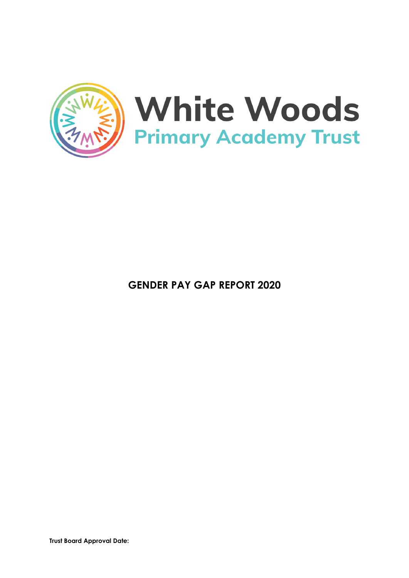

**GENDER PAY GAP REPORT 2020**

**Trust Board Approval Date:**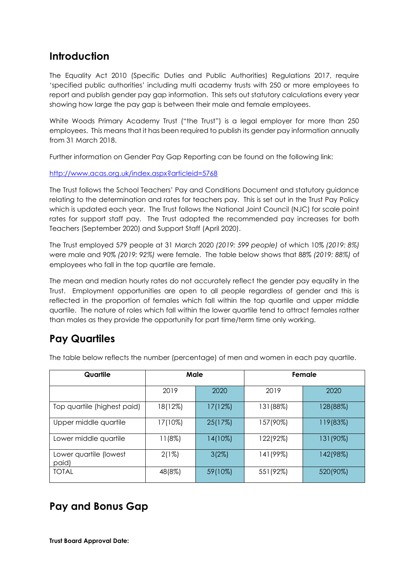## **Introduction**

The Equality Act 2010 (Specific Duties and Public Authorities) Regulations 2017, require 'specified public authorities' including multi academy trusts with 250 or more employees to report and publish gender pay gap information. This sets out statutory calculations every year showing how large the pay gap is between their male and female employees.

White Woods Primary Academy Trust ("the Trust") is a legal employer for more than 250 employees. This means that it has been required to publish its gender pay information annually from 31 March 2018.

Further information on Gender Pay Gap Reporting can be found on the following link:

<http://www.acas.org.uk/index.aspx?articleid=5768>

The Trust follows the School Teachers' Pay and Conditions Document and statutory guidance relating to the determination and rates for teachers pay. This is set out in the Trust Pay Policy which is updated each year. The Trust follows the National Joint Council (NJC) for scale point rates for support staff pay. The Trust adopted the recommended pay increases for both Teachers (September 2020) and Support Staff (April 2020).

The Trust employed 579 people at 31 March 2020 *(2019: 599 people)* of which 10% *(2019: 8%)* were male and 90% *(2019: 92%)* were female. The table below shows that 88% *(2019: 88%)* of employees who fall in the top quartile are female.

The mean and median hourly rates do not accurately reflect the gender pay equality in the Trust. Employment opportunities are open to all people regardless of gender and this is reflected in the proportion of females which fall within the top quartile and upper middle quartile. The nature of roles which fall within the lower quartile tend to attract females rather than males as they provide the opportunity for part time/term time only working.

## **Pay Quartiles**

| Quartile                        | Male    |         | Female    |           |
|---------------------------------|---------|---------|-----------|-----------|
|                                 | 2019    | 2020    | 2019      | 2020      |
| Top quartile (highest paid)     | 18(12%) | 17(12%) | 131 (88%) | 128(88%)  |
| Upper middle quartile           | 17(10%) | 25(17%) | 157(90%)  | 119(83%)  |
| Lower middle quartile           | 11(8%)  | 14(10%) | 122(92%)  | 131 (90%) |
| Lower quartile (lowest<br>paid) | 2(1%)   | 3(2%)   | 141 (99%) | 142(98%)  |
| <b>TOTAL</b>                    | 48(8%)  | 59(10%) | 551 (92%) | 520(90%)  |

The table below reflects the number (percentage) of men and women in each pay quartile.

# **Pay and Bonus Gap**